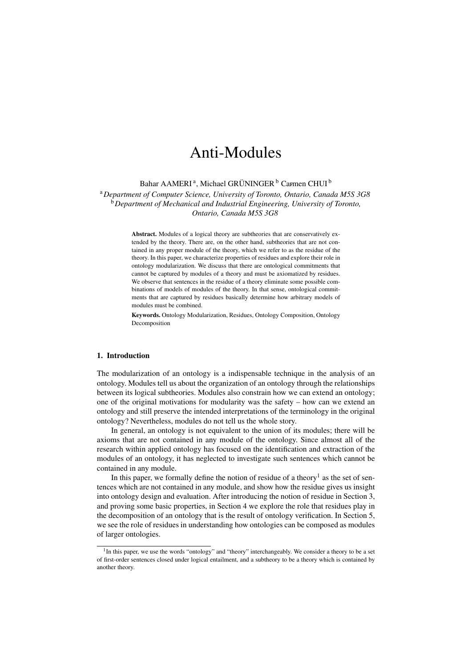# Anti-Modules

Bahar AAMERI<sup>a</sup>, Michael GRÜNINGER<sup>[b](#page-0-1)</sup> Carmen CHUI<sup>b</sup>

<span id="page-0-1"></span><span id="page-0-0"></span><sup>a</sup>*Department of Computer Science, University of Toronto, Ontario, Canada M5S 3G8* <sup>b</sup>*Department of Mechanical and Industrial Engineering, University of Toronto, Ontario, Canada M5S 3G8*

> Abstract. Modules of a logical theory are subtheories that are conservatively extended by the theory. There are, on the other hand, subtheories that are not contained in any proper module of the theory, which we refer to as the residue of the theory. In this paper, we characterize properties of residues and explore their role in ontology modularization. We discuss that there are ontological commitments that cannot be captured by modules of a theory and must be axiomatized by residues. We observe that sentences in the residue of a theory eliminate some possible combinations of models of modules of the theory. In that sense, ontological commitments that are captured by residues basically determine how arbitrary models of modules must be combined.

> Keywords. Ontology Modularization, Residues, Ontology Composition, Ontology Decomposition

#### 1. Introduction

The modularization of an ontology is a indispensable technique in the analysis of an ontology. Modules tell us about the organization of an ontology through the relationships between its logical subtheories. Modules also constrain how we can extend an ontology; one of the original motivations for modularity was the safety – how can we extend an ontology and still preserve the intended interpretations of the terminology in the original ontology? Nevertheless, modules do not tell us the whole story.

In general, an ontology is not equivalent to the union of its modules; there will be axioms that are not contained in any module of the ontology. Since almost all of the research within applied ontology has focused on the identification and extraction of the modules of an ontology, it has neglected to investigate such sentences which cannot be contained in any module.

In this paper, we formally define the notion of residue of a theory<sup>1</sup> as the set of sentences which are not contained in any module, and show how the residue gives us insight into ontology design and evaluation. After introducing the notion of residue in Section [3,](#page-3-0) and proving some basic properties, in Section [4](#page-8-0) we explore the role that residues play in the decomposition of an ontology that is the result of ontology verification. In Section [5,](#page-10-0) we see the role of residues in understanding how ontologies can be composed as modules of larger ontologies.

<span id="page-0-2"></span> $1$ In this paper, we use the words "ontology" and "theory" interchangeably. We consider a theory to be a set of first-order sentences closed under logical entailment, and a subtheory to be a theory which is contained by another theory.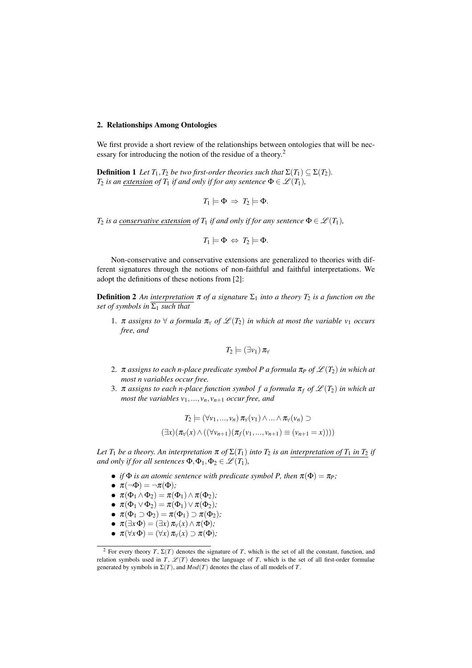# 2. Relationships Among Ontologies

We first provide a short review of the relationships between ontologies that will be necessary for introducing the notion of the residue of a theory[.2](#page-1-0)

**Definition 1** Let  $T_1, T_2$  be two first-order theories such that  $\Sigma(T_1) \subseteq \Sigma(T_2)$ . *T*<sub>2</sub> *is an extension of T*<sub>1</sub> *if and only if for any sentence*  $\Phi \in \mathcal{L}(T_1)$ *,* 

$$
T_1 \models \Phi \Rightarrow T_2 \models \Phi.
$$

*T*<sub>2</sub> *is a conservative extension of*  $T_1$  *<i>if and only if for any sentence*  $\Phi \in \mathcal{L}(T_1)$ *,* 

$$
T_1 \models \Phi \Leftrightarrow T_2 \models \Phi.
$$

Non-conservative and conservative extensions are generalized to theories with different signatures through the notions of non-faithful and faithful interpretations. We adopt the definitions of these notions from [\[2\]](#page-11-0):

**Definition 2** An interpretation  $\pi$  of a signature  $\Sigma_1$  into a theory  $T_2$  is a function on the *set of symbols in*  $\overline{\Sigma_1}$  *such that* 

1.  $\pi$  *assigns to*  $\forall$  *a formula*  $\pi_{\forall}$  *of*  $\mathcal{L}(T_2)$  *in which at most the variable*  $v_1$  *occurs free, and*

$$
T_2\models (\exists v_1)\,\pi_\forall
$$

- 2.  $\pi$  *assigns to each n-place predicate symbol P a formula*  $\pi$ *<sub>P</sub> of*  $\mathscr{L}(T_2)$  *in which at most n variables occur free.*
- 3.  $\pi$  *assigns to each n-place function symbol f a formula*  $\pi_f$  *of*  $\mathcal{L}(T_2)$  *in which at most the variables*  $v_1$ , ...,  $v_n$ ,  $v_{n+1}$  *occur free, and*

$$
T_2 \models (\forall v_1, ..., v_n) \pi_{\forall}(v_1) \land ... \land \pi_{\forall}(v_n) \supset
$$

$$
(\exists x) (\pi_{\forall}(x) \land ((\forall v_{n+1})(\pi_f(v_1, ..., v_{n+1}) \equiv (v_{n+1} = x))))
$$

*Let*  $T_1$  *be a theory. An interpretation*  $\pi$  *of*  $\Sigma(T_1)$  *into*  $T_2$  *is an interpretation of*  $T_1$  *in*  $T_2$  *if and only if for all sentences*  $\Phi$ ,  $\Phi$ <sub>1</sub>,  $\Phi$ <sub>2</sub>  $\in \mathcal{L}(T_1)$ *,* 

- *if*  $\Phi$  *is an atomic sentence with predicate symbol P, then*  $\pi(\Phi) = \pi_P$ ;
- $\pi(\neg \Phi) = \neg \pi(\Phi)$ ;
- $\pi(\Phi_1 \wedge \Phi_2) = \pi(\Phi_1) \wedge \pi(\Phi_2)$ *;*
- $\pi(\Phi_1 \vee \Phi_2) = \pi(\Phi_1) \vee \pi(\Phi_2)$ *;*
- $\pi(\Phi_1 \supset \Phi_2) = \pi(\Phi_1) \supset \pi(\Phi_2)$ ;
- $\pi(\exists x \Phi) = (\exists x) \pi_{\forall}(x) \wedge \pi(\Phi)$ ;
- $\pi(\forall x \, \Phi) = (\forall x) \, \pi_{\forall}(x) \supset \pi(\Phi)$ ;

<span id="page-1-0"></span><sup>&</sup>lt;sup>2</sup> For every theory *T*,  $\Sigma(T)$  denotes the signature of *T*, which is the set of all the constant, function, and relation symbols used in  $\hat{T}$ ,  $\mathscr{L}(T)$  denotes the language of *T*, which is the set of all first-order formulae generated by symbols in  $\Sigma(T)$ , and  $Mod(T)$  denotes the class of all models of *T*.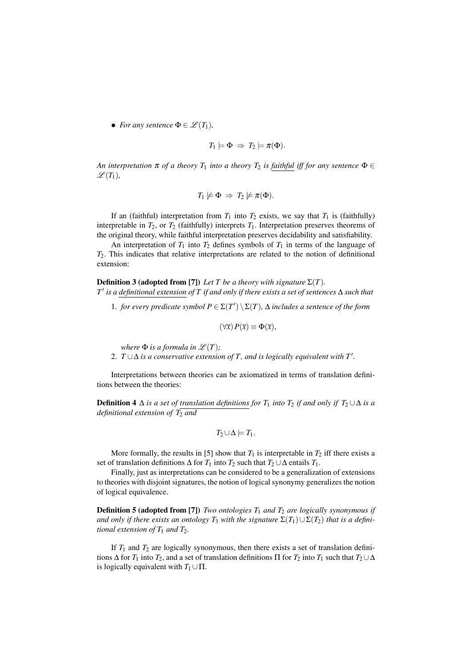• *For any sentence*  $\Phi \in \mathcal{L}(T_1)$ *,* 

$$
T_1 \models \Phi \Rightarrow T_2 \models \pi(\Phi).
$$

*An interpretation*  $\pi$  *of a theory*  $T_1$  *into a theory*  $T_2$  *is faithful iff for any sentence*  $\Phi \in$  $\mathscr{L}(T_1)$ ,

$$
T_1 \not\models \Phi \Rightarrow T_2 \not\models \pi(\Phi).
$$

If an (faithful) interpretation from  $T_1$  into  $T_2$  exists, we say that  $T_1$  is (faithfully) interpretable in  $T_2$ , or  $T_2$  (faithfully) interprets  $T_1$ . Interpretation preserves theorems of the original theory, while faithful interpretation preserves decidability and satisfiability.

An interpretation of  $T_1$  into  $T_2$  defines symbols of  $T_1$  in terms of the language of *T*2. This indicates that relative interpretations are related to the notion of definitional extension:

**Definition 3 (adopted from [\[7\]](#page-12-0))** *Let T be a theory with signature*  $\Sigma(T)$ *.*  $T'$  *is a definitional extension of*  $T$  *if and only if there exists a set of sentences*  $\Delta$  *such that* 

1. *for every predicate symbol*  $P \in \Sigma(T') \setminus \Sigma(T)$ ,  $\Delta$  *includes a sentence of the form* 

$$
(\forall \overline{x}) P(\overline{x}) \equiv \Phi(\overline{x}),
$$

*where*  $\Phi$  *is a formula in*  $\mathscr{L}(T)$ *;* 

2.  $T \cup \Delta$  *is a conservative extension of* T, and *is logically equivalent with*  $T'.$ 

Interpretations between theories can be axiomatized in terms of translation definitions between the theories:

**Definition 4**  $\Delta$  *is a set of translation definitions for*  $T_1$  *into*  $T_2$  *if and only if*  $T_2 \cup \Delta$  *is a definitional extension of*  $T_2$  *and* 

$$
T_2\cup\Delta\models T_1.
$$

More formally, the results in [\[5\]](#page-12-1) show that  $T_1$  is interpretable in  $T_2$  iff there exists a set of translation definitions  $\Delta$  for  $T_1$  into  $T_2$  such that  $T_2 \cup \Delta$  entails  $T_1$ .

Finally, just as interpretations can be considered to be a generalization of extensions to theories with disjoint signatures, the notion of logical synonymy generalizes the notion of logical equivalence.

**Definition 5 (adopted from [\[7\]](#page-12-0))** *Two ontologies*  $T_1$  *and*  $T_2$  *are logically synonymous if* and only if there exists an ontology  $T_3$  with the signature  $\Sigma(T_1) \cup \Sigma(T_2)$  that is a defini*tional extension of*  $T_1$  *and*  $T_2$ *.* 

If  $T_1$  and  $T_2$  are logically synonymous, then there exists a set of translation definitions  $\Delta$  for  $T_1$  into  $T_2$ , and a set of translation definitions  $\Pi$  for  $T_2$  into  $T_1$  such that  $T_2 \cup \Delta$ is logically equivalent with  $T_1 \cup \Pi$ .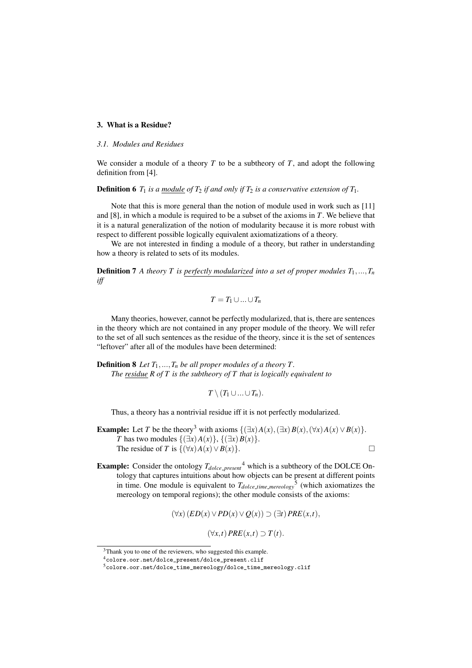# <span id="page-3-0"></span>3. What is a Residue?

#### *3.1. Modules and Residues*

We consider a module of a theory  $T$  to be a subtheory of  $T$ , and adopt the following definition from [\[4\]](#page-12-2).

**Definition 6**  $T_1$  *is a module of*  $T_2$  *if and only if*  $T_2$  *is a conservative extension of*  $T_1$ *.* 

Note that this is more general than the notion of module used in work such as [\[11\]](#page-12-3) and [\[8\]](#page-12-4), in which a module is required to be a subset of the axioms in *T*. We believe that it is a natural generalization of the notion of modularity because it is more robust with respect to different possible logically equivalent axiomatizations of a theory.

We are not interested in finding a module of a theory, but rather in understanding how a theory is related to sets of its modules.

**Definition 7** A theory T is perfectly modularized into a set of proper modules  $T_1, ..., T_n$ *iff*

$$
T=T_1\cup...\cup T_n
$$

Many theories, however, cannot be perfectly modularized, that is, there are sentences in the theory which are not contained in any proper module of the theory. We will refer to the set of all such sentences as the residue of the theory, since it is the set of sentences "leftover" after all of the modules have been determined:

**Definition 8** *Let*  $T_1, ..., T_n$  *be all proper modules of a theory T. The residue R of T is the subtheory of T that is logically equivalent to*

 $T \setminus (T_1 \cup ... \cup T_n)$ .

Thus, a theory has a nontrivial residue iff it is not perfectly modularized.

- **Example:** Let *T* be the theory<sup>3</sup> with axioms  $\{(\exists x)A(x), (\exists x)B(x), (\forall x)A(x) \vee B(x)\}$ . *T* has two modules  $\{(\exists x)A(x)\}, \{(\exists x)B(x)\}.$ The residue of *T* is  $\{(\forall x)A(x) \lor B(x)\}$ .
- **Example:** Consider the ontology  $T_{dolce\text{-}present}$ <sup>[4](#page-3-2)</sup> which is a subtheory of the DOLCE Ontology that captures intuitions about how objects can be present at different points in time. One module is equivalent to  $T_{dolecule\_time\_meredogy}$ <sup>[5](#page-3-3)</sup> (which axiomatizes the mereology on temporal regions); the other module consists of the axioms:

$$
(\forall x)(ED(x)\vee PD(x)\vee Q(x))\supset (\exists t) PRE(x,t),
$$

 $(\forall x, t)$   $PRE(x,t) \supset T(t)$ .

<span id="page-3-1"></span><sup>&</sup>lt;sup>3</sup>Thank you to one of the reviewers, who suggested this example.

<span id="page-3-2"></span><sup>4</sup>[colore.oor.net/dolce\\_present/dolce\\_present.clif](colore.oor.net/dolce_present/dolce_present.clif)

<span id="page-3-3"></span><sup>5</sup>[colore.oor.net/dolce\\_time\\_mereology/dolce\\_time\\_mereology.clif](colore.oor.net/dolce_time_mereology/dolce_time_mereology.clif)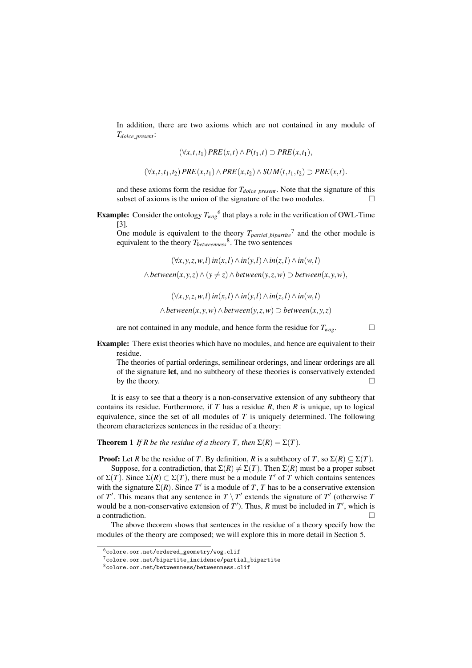In addition, there are two axioms which are not contained in any module of *Tdolce present*:

$$
(\forall x, t, t_1) \, PRE(x, t) \wedge P(t_1, t) \supset PRE(x, t_1),
$$

 $(\forall x, t, t_1, t_2) PRE(x, t_1) \wedge PRE(x, t_2) \wedge SUM(t, t_1, t_2) \supset PRE(x, t).$ 

and these axioms form the residue for  $T_{dolce\text{-}present}$ . Note that the signature of this subset of axioms is the union of the signature of the two modules.  $\Box$ 

**Example:** Consider the ontology  $T_{wog}$ <sup>[6](#page-4-0)</sup> that plays a role in the verification of OWL-Time [\[3\]](#page-11-1).

One module is equivalent to the theory  $T_{partial\_bipartite}^{\dagger}$  and the other module is equivalent to the theory *Tbetweenness* [8.](#page-4-2) The two sentences

 $(\forall x, y, z, w, l)$  *in*(*x*,*l*)  $\land$  *in*(*y*,*l*)  $\land$  *in*(*z*,*l*)  $\land$  *in*(*w*,*l*)

 $\wedge$  between $(x, y, z) \wedge (y \neq z) \wedge$  between $(y, z, w) \supset$  between $(x, y, w)$ *,* 

 $(\forall x, y, z, w, l)$  in $(x, l) \land in(y, l) \land in(z, l) \land in(w, l)$  $\wedge$  *between*(*x*, *y*, *w*)  $\wedge$  *between*(*y*, *z*, *w*)  $\supset$  *between*(*x*, *y*, *z*)

are not contained in any module, and hence form the residue for  $T_{woe}$ .

**Example:** There exist theories which have no modules, and hence are equivalent to their residue.

The theories of partial orderings, semilinear orderings, and linear orderings are all of the signature let, and no subtheory of these theories is conservatively extended by the theory.  $\Box$ 

It is easy to see that a theory is a non-conservative extension of any subtheory that contains its residue. Furthermore, if *T* has a residue *R*, then *R* is unique, up to logical equivalence, since the set of all modules of *T* is uniquely determined. The following theorem characterizes sentences in the residue of a theory:

<span id="page-4-3"></span>**Theorem 1** If R be the residue of a theory T, then  $\Sigma(R) = \Sigma(T)$ .

**Proof:** Let *R* be the residue of *T*. By definition, *R* is a subtheory of *T*, so  $\Sigma(R) \subseteq \Sigma(T)$ .

Suppose, for a contradiction, that  $\Sigma(R) \neq \Sigma(T)$ . Then  $\Sigma(R)$  must be a proper subset of  $\Sigma(T)$ . Since  $\Sigma(R) \subset \Sigma(T)$ , there must be a module T' of T which contains sentences with the signature  $\Sigma(R)$ . Since T' is a module of T, T has to be a conservative extension of *T'*. This means that any sentence in  $T \setminus T'$  extends the signature of *T'* (otherwise *T*) would be a non-conservative extension of  $T'$ ). Thus, *R* must be included in  $T'$ , which is a contradiction.  $\Box$ 

The above theorem shows that sentences in the residue of a theory specify how the modules of the theory are composed; we will explore this in more detail in Section [5.](#page-10-0)

<span id="page-4-0"></span> $^6$ [colore.oor.net/ordered\\_geometry/wog.clif](colore.oor.net/ordered_geometry/wog.clif)

<span id="page-4-1"></span><sup>7</sup>[colore.oor.net/bipartite\\_incidence/partial\\_bipartite](colore.oor.net/bipartite_incidence/partial_bipartite)

<span id="page-4-2"></span> $8$ <colore.oor.net/betweenness/betweenness.clif>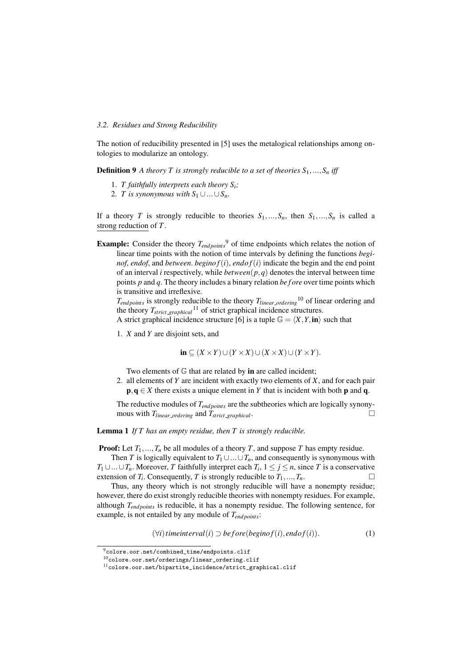#### *3.2. Residues and Strong Reducibility*

The notion of reducibility presented in [\[5\]](#page-12-1) uses the metalogical relationships among ontologies to modularize an ontology.

**Definition 9** *A theory T is strongly reducible to a set of theories*  $S_1, \ldots, S_n$  *iff* 

- 1. *T faithfully interprets each theory Si;*
- 2. *T* is synonymous with  $S_1 \cup ... \cup S_n$ .

If a theory *T* is strongly reducible to theories  $S_1, ..., S_n$ , then  $S_1, ..., S_n$  is called a strong reduction of *T*.

**Example:** Consider the theory  $T_{endpoints}$ <sup>[9](#page-5-0)</sup> of time endpoints which relates the notion of linear time points with the notion of time intervals by defining the functions *beginof, endof,* and *between. beginof*( $i$ ), *endof*( $i$ ) indicate the begin and the end point of an interval *i* respectively, while *between*(*p,q*) denotes the interval between time points *p* and *q*. The theory includes a binary relation *be f ore* over time points which is transitive and irreflexive.

 $T_{endpoints}$  is strongly reducible to the theory  $T_{linear\, ordering}$ <sup>[10](#page-5-1)</sup> of linear ordering and the theory  $T_{strict\_graphical}$ <sup>[11](#page-5-2)</sup> of strict graphical incidence structures.

- A strict graphical incidence structure [\[6\]](#page-12-5) is a tuple  $\mathbb{G} = \langle X, Y, \text{in} \rangle$  such that
- 1. *X* and *Y* are disjoint sets, and

$$
\mathbf{in} \subseteq (X \times Y) \cup (Y \times X) \cup (X \times X) \cup (Y \times Y).
$$

Two elements of  $G$  that are related by in are called incident;

2. all elements of *Y* are incident with exactly two elements of *X*, and for each pair  $\mathbf{p}, \mathbf{q} \in X$  there exists a unique element in *Y* that is incident with both **p** and **q**.

The reductive modules of  $T_{end~noints}$  are the subtheories which are logically synonymous with  $T_{linear\_ordering}$  and  $T_{strict\_graphical}$ .

Lemma 1 *If T has an empty residue, then T is strongly reducible.*

**Proof:** Let  $T_1, ..., T_n$  be all modules of a theory *T*, and suppose *T* has empty residue.

Then *T* is logically equivalent to  $T_1 \cup ... \cup T_n$ , and consequently is synonymous with  $T_1 \cup ... \cup T_n$ . Moreover, *T* faithfully interpret each  $T_i$ ,  $1 \le j \le n$ , since *T* is a conservative extension of *T<sub>i</sub>*. Consequently, *T* is strongly reducible to  $T_1,...,T_n$ . extension of  $T_i$ . Consequently,  $T$  is strongly reducible to  $T_1, \ldots, T_n$ .

Thus, any theory which is not strongly reducible will have a nonempty residue; however, there do exist strongly reducible theories with nonempty residues. For example, although  $T_{endpoints}$  is reducible, it has a nonempty residue. The following sentence, for example, is not entailed by any module of  $T_{endpoints}$ :

<span id="page-5-3"></span> $(\forall i)$  *timeinterval* $(i)$   $\supset$  *before*(*beginof* $(i)$ *, endof* $(i)$ ). (1)

<span id="page-5-0"></span> $^{9}$ [colore.oor.net/combined\\_time/endpoints.clif](colore.oor.net/combined_time/endpoints.clif)

<span id="page-5-1"></span><sup>10</sup>[colore.oor.net/orderings/linear\\_ordering.clif](colore.oor.net/orderings/linear_ordering.clif)

<span id="page-5-2"></span><sup>11</sup>[colore.oor.net/bipartite\\_incidence/strict\\_graphical.clif](colore.oor.net/bipartite_incidence/strict_graphical.clif)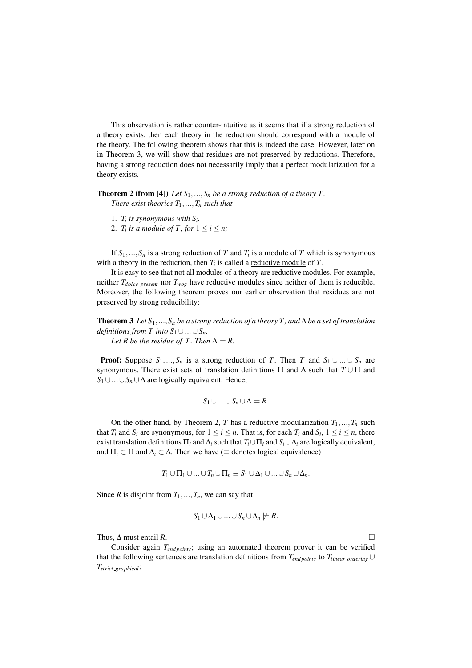This observation is rather counter-intuitive as it seems that if a strong reduction of a theory exists, then each theory in the reduction should correspond with a module of the theory. The following theorem shows that this is indeed the case. However, later on in Theorem [3,](#page-6-0) we will show that residues are not preserved by reductions. Therefore, having a strong reduction does not necessarily imply that a perfect modularization for a theory exists.

**Theorem 2 (from [\[4\]](#page-12-2))** *Let*  $S_1, \ldots, S_n$  *be a strong reduction of a theory T. There exist theories*  $T_1, ..., T_n$  *such that* 

- 1.  $T_i$  *is synonymous with*  $S_i$ .
- <span id="page-6-1"></span>2. *T<sub>i</sub>* is a module of *T*, for  $1 \le i \le n$ ;

If  $S_1, \ldots, S_n$  is a strong reduction of *T* and  $T_i$  is a module of *T* which is synonymous with a theory in the reduction, then *Ti* is called a reductive module of *T*.

It is easy to see that not all modules of a theory are reductive modules. For example, neither  $T_{dolce\_present}$  nor  $T_{wog}$  have reductive modules since neither of them is reducible. Moreover, the following theorem proves our earlier observation that residues are not preserved by strong reducibility:

<span id="page-6-0"></span>**Theorem 3** Let  $S_1$ , ...,  $S_n$  be a strong reduction of a theory T, and  $\Delta$  be a set of translation *definitions from T into*  $S_1 \cup ... \cup S_n$ .

*Let R be the residue of T. Then*  $\Delta \models R$ *.* 

**Proof:** Suppose  $S_1, ..., S_n$  is a strong reduction of *T*. Then *T* and  $S_1 \cup ... \cup S_n$  are synonymous. There exist sets of translation definitions  $\Pi$  and  $\Delta$  such that  $T \cup \Pi$  and  $S_1 \cup ... \cup S_n \cup \Delta$  are logically equivalent. Hence,

$$
S_1 \cup ... \cup S_n \cup \Delta \models R.
$$

On the other hand, by Theorem [2,](#page-6-1) *T* has a reductive modularization  $T_1, ..., T_n$  such that *T<sub>i</sub>* and *S<sub>i</sub>* are synonymous, for  $1 \le i \le n$ . That is, for each *T<sub>i</sub>* and *S<sub>i</sub>*,  $1 \le i \le n$ , there exist translation definitions  $\Pi_i$  and  $\Delta_i$  such that  $T_i \cup \Pi_i$  and  $S_i \cup \Delta_i$  are logically equivalent, and  $\Pi_i \subset \Pi$  and  $\Delta_i \subset \Delta$ . Then we have ( $\equiv$  denotes logical equivalence)

$$
T_1\cup \Pi_1\cup...\cup T_n\cup \Pi_n\equiv S_1\cup \Delta_1\cup...\cup S_n\cup \Delta_n.
$$

Since *R* is disjoint from  $T_1, \ldots, T_n$ , we can say that

$$
S_1 \cup \Delta_1 \cup ... \cup S_n \cup \Delta_n \not\models R.
$$

Thus,  $\Delta$  must entail *R*.

Consider again *T<sub>end points</sub>*; using an automated theorem prover it can be verified that the following sentences are translation definitions from  $T_{endpoints}$  to  $T_{linear\_ordering}$ *Tstrict graphical*: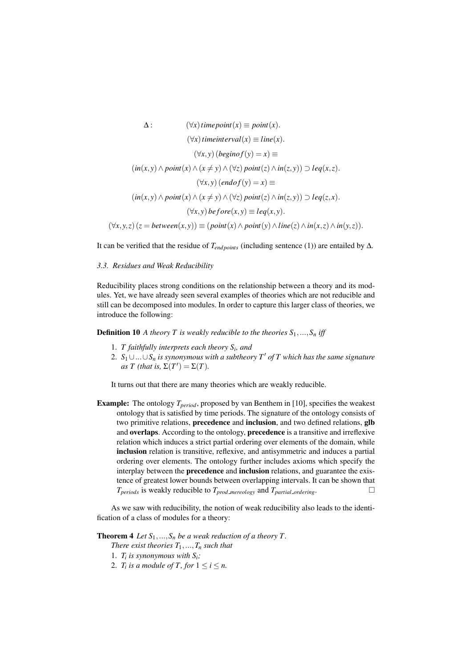$$
\Delta: \qquad (\forall x) \text{ time point}(x) \equiv \text{point}(x). \n(\forall x) \text{ time interval}(x) \equiv \text{ line}(x). \n(\forall x, y) \text{ (begin of } y) = x \equiv \n(\text{in}(x, y) \land \text{point}(x) \land (x \neq y) \land (\forall z) \text{ point}(z) \land \text{in}(z, y)) \supset \text{leq}(x, z). \n(\forall x, y) \text{ (endo } f(y) = x \equiv \n(\text{in}(x, y) \land \text{point}(x) \land (x \neq y) \land (\forall z) \text{ point}(z) \land \text{in}(z, y)) \supset \text{leq}(z, x). \n(\forall x, y) \text{ be } \text{fore}(x, y) \equiv \text{leq}(x, y). \n(\forall x, y, z) (z = \text{between}(x, y)) \equiv (\text{point}(x) \land \text{point}(y) \land \text{line}(z) \land \text{in}(x, z) \land \text{in}(y, z)).
$$

It can be verified that the residue of  $T_{endpoints}$  (including sentence [\(1\)](#page-5-3)) are entailed by  $\Delta$ .

### *3.3. Residues and Weak Reducibility*

Reducibility places strong conditions on the relationship between a theory and its modules. Yet, we have already seen several examples of theories which are not reducible and still can be decomposed into modules. In order to capture this larger class of theories, we introduce the following:

<span id="page-7-0"></span>**Definition 10** *A theory T is weakly reducible to the theories*  $S_1, ..., S_n$  *iff* 

- 1. *T faithfully interprets each theory Si, and*
- 2.  $S_1 \cup ... \cup S_n$  *is synonymous with a subtheory T' of T which has the same signature* as *T* (that is,  $\Sigma(T') = \Sigma(T)$ .

It turns out that there are many theories which are weakly reducible.

Example: The ontology  $T_{period}$ , proposed by van Benthem in [\[10\]](#page-12-6), specifies the weakest ontology that is satisfied by time periods. The signature of the ontology consists of two primitive relations, **precedence** and **inclusion**, and two defined relations, **glb** and overlaps. According to the ontology, precedence is a transitive and irreflexive relation which induces a strict partial ordering over elements of the domain, while inclusion relation is transitive, reflexive, and antisymmetric and induces a partial ordering over elements. The ontology further includes axioms which specify the interplay between the precedence and inclusion relations, and guarantee the existence of greatest lower bounds between overlapping intervals. It can be shown that  $T_{periods}$  is weakly reducible to  $T_{prod\_meredopy}$  and  $T_{partial\_ordering}$ .

As we saw with reducibility, the notion of weak reducibility also leads to the identification of a class of modules for a theory:

**Theorem 4** *Let*  $S_1$ , ...,  $S_n$  *be a weak reduction of a theory T.* 

*There exist theories*  $T_1, \ldots, T_n$  *such that* 

- 1.  $T_i$  *is synonymous with*  $S_i$ ;
- 2. *T<sub>i</sub> is a module of T*, *for*  $1 \le i \le n$ .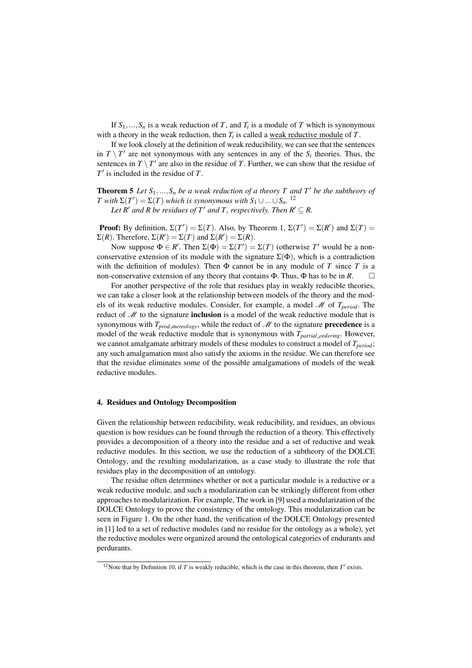If  $S_1, \ldots, S_n$  is a weak reduction of *T*, and  $T_i$  is a module of *T* which is synonymous with a theory in the weak reduction, then *Ti* is called a weak reductive module of *T*.

If we look closely at the definition of weak reducibility, we can see that the sentences in  $T \setminus T'$  are not synonymous with any sentences in any of the  $S_i$  theories. Thus, the sentences in  $T \setminus T'$  are also in the residue of *T*. Further, we can show that the residue of *T*<sup> $\prime$ </sup> is included in the residue of *T*.

**Theorem 5** Let  $S_1, ..., S_n$  be a weak reduction of a theory T and T' be the subtheory of *T* with  $\Sigma(T') = \Sigma(T)$  which is synonymous with  $S_1 \cup ... \cup S_n$ . <sup>[12](#page-8-1)</sup> *Let*  $R'$  *and*  $R$  *be residues of*  $T'$  *and*  $T$ *, respectively. Then*  $R' \subseteq R$ *.* 

**Proof:** By definition,  $\Sigma(T') = \Sigma(T)$ . Also, by Theorem [1,](#page-4-3)  $\Sigma(T') = \Sigma(R')$  and  $\Sigma(T) =$  $\Sigma(R)$ . Therefore,  $\Sigma(R') = \Sigma(T)$  and  $\Sigma(R') = \Sigma(R)$ .

Now suppose  $\Phi \in R'$ . Then  $\Sigma(\Phi) = \Sigma(T') = \Sigma(T)$  (otherwise *T'* would be a nonconservative extension of its module with the signature  $\Sigma(\Phi)$ , which is a contradiction with the definition of modules). Then  $\Phi$  cannot be in any module of *T* since *T* is a non-conservative extension of any theory that contains  $\Phi$ . Thus,  $\Phi$  has to be in *R*.  $\Box$ 

For another perspective of the role that residues play in weakly reducible theories, we can take a closer look at the relationship between models of the theory and the models of its weak reductive modules. Consider, for example, a model *M* of *Tperiod*. The reduct of *M* to the signature inclusion is a model of the weak reductive module that is synonymous with  $T_{prod\space{}{merology}}$ , while the reduct of  $M$  to the signature **precedence** is a model of the weak reductive module that is synonymous with *T<sub>partial ordering*. However,</sub> we cannot amalgamate arbitrary models of these modules to construct a model of  $T_{period}$ ; any such amalgamation must also satisfy the axioms in the residue. We can therefore see that the residue eliminates some of the possible amalgamations of models of the weak reductive modules.

#### <span id="page-8-0"></span>4. Residues and Ontology Decomposition

Given the relationship between reducibility, weak reducibility, and residues, an obvious question is how residues can be found through the reduction of a theory. This effectively provides a decomposition of a theory into the residue and a set of reductive and weak reductive modules. In this section, we use the reduction of a subtheory of the DOLCE Ontology, and the resulting modularization, as a case study to illustrate the role that residues play in the decomposition of an ontology.

The residue often determines whether or not a particular module is a reductive or a weak reductive module, and such a modularization can be strikingly different from other approaches to modularization. For example, The work in [\[9\]](#page-12-7) used a modularization of the DOLCE Ontology to prove the consistency of the ontology. This modularization can be seen in Figure [1.](#page-9-0) On the other hand, the verification of the DOLCE Ontology presented in [\[1\]](#page-11-2) led to a set of reductive modules (and no residue for the ontology as a whole), yet the reductive modules were organized around the ontological categories of endurants and perdurants.

<span id="page-8-1"></span><sup>&</sup>lt;sup>12</sup>Note that by Definition [10,](#page-7-0) if *T* is weakly reducible, which is the case in this theorem, then  $T'$  exists.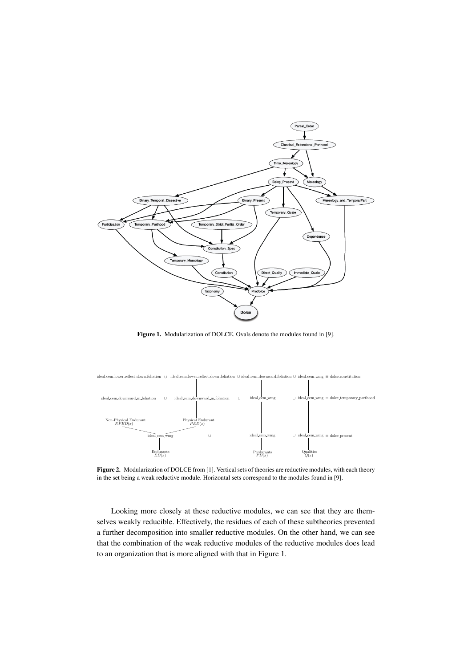

<span id="page-9-0"></span>Figure 1. Modularization of DOLCE. Ovals denote the modules found in [\[9\]](#page-12-7).



Figure 2. Modularization of DOLCE from [\[1\]](#page-11-2). Vertical sets of theories are reductive modules, with each theory in the set being a weak reductive module. Horizontal sets correspond to the modules found in [\[9\]](#page-12-7).

Looking more closely at these reductive modules, we can see that they are themselves weakly reducible. Effectively, the residues of each of these subtheories prevented a further decomposition into smaller reductive modules. On the other hand, we can see that the combination of the weak reductive modules of the reductive modules does lead to an organization that is more aligned with that in Figure [1.](#page-9-0)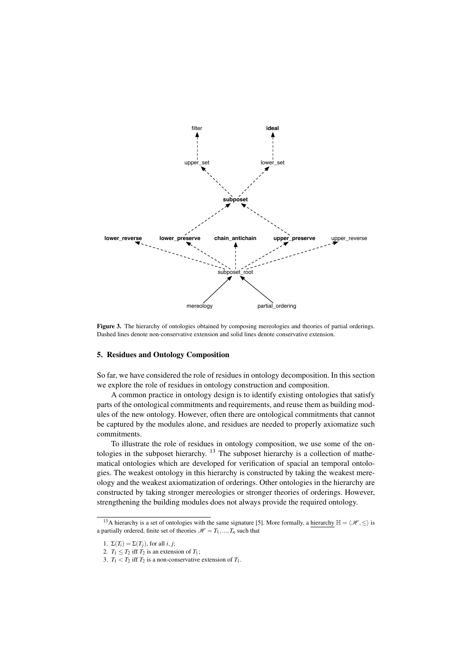

<span id="page-10-2"></span>Figure 3. The hierarchy of ontologies obtained by composing mereologies and theories of partial orderings. Dashed lines denote non-conservative extension and solid lines denote conservative extension.

## <span id="page-10-0"></span>5. Residues and Ontology Composition

So far, we have considered the role of residues in ontology decomposition. In this section we explore the role of residues in ontology construction and composition.

A common practice in ontology design is to identify existing ontologies that satisfy parts of the ontological commitments and requirements, and reuse them as building modules of the new ontology. However, often there are ontological commitments that cannot be captured by the modules alone, and residues are needed to properly axiomatize such commitments.

To illustrate the role of residues in ontology composition, we use some of the ontologies in the subposet hierarchy. [13](#page-10-1) The subposet hierarchy is a collection of mathematical ontologies which are developed for verification of spacial an temporal ontologies. The weakest ontology in this hierarchy is constructed by taking the weakest mereology and the weakest axiomatization of orderings. Other ontologies in the hierarchy are constructed by taking stronger mereologies or stronger theories of orderings. However, strengthening the building modules does not always provide the required ontology.

<span id="page-10-1"></span><sup>&</sup>lt;sup>13</sup>A hierarchy is a set of ontologies with the same signature [\[5\]](#page-12-1). More formally, a hierarchy  $\mathbb{H} = \langle \mathcal{H}, \leq \rangle$  is a partially ordered, finite set of theories  $\mathcal{H} = T_1, ..., T_n$  such that

<sup>1.</sup>  $\Sigma(T_i) = \Sigma(T_i)$ , for all *i*, *j*;

<sup>2.</sup>  $T_1 \leq T_2$  iff  $T_2$  is an extension of  $T_1$ ;

<sup>3.</sup>  $T_1 < T_2$  iff  $T_2$  is a non-conservative extension of  $T_1$ .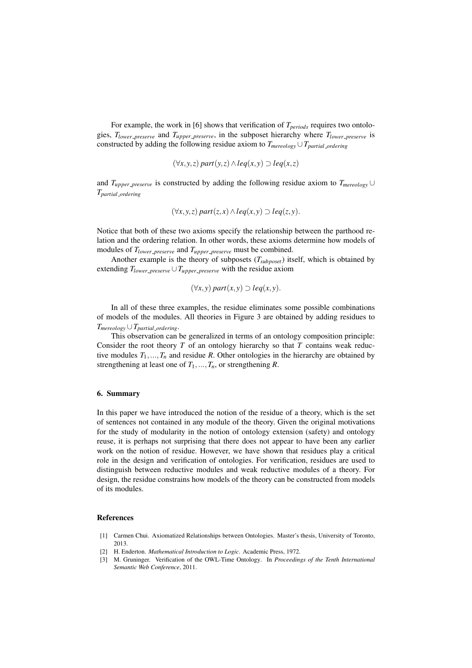For example, the work in [\[6\]](#page-12-5) shows that verification of  $T_{periods}$  requires two ontologies, *Tlower preserve* and *Tupper preserve*, in the subposet hierarchy where *Tlower preserve* is constructed by adding the following residue axiom to  $T_{\text{meredopy}} \cup T_{\text{partial\_ordering}}$ 

$$
(\forall x, y, z) \ part(y, z) \land leq(x, y) \supset leq(x, z)
$$

and  $T_{upper\_preserve}$  is constructed by adding the following residue axiom to  $T_{meredogy} \cup$ *Tpartial ordering*

$$
(\forall x, y, z) part(z, x) \land leq(x, y) \supset leq(z, y).
$$

Notice that both of these two axioms specify the relationship between the parthood relation and the ordering relation. In other words, these axioms determine how models of modules of *Tlower preserve* and *Tupper preserve* must be combined.

Another example is the theory of subposets (*Tsubposet*) itself, which is obtained by extending  $T_{lower\_preserve} \cup T_{upper\_preserve}$  with the residue axiom

$$
(\forall x, y) \ part(x, y) \supset \text{leq}(x, y).
$$

In all of these three examples, the residue eliminates some possible combinations of models of the modules. All theories in Figure [3](#page-10-2) are obtained by adding residues to  $T_{meredogy} \cup T_{partial\_ordered}$ 

This observation can be generalized in terms of an ontology composition principle: Consider the root theory *T* of an ontology hierarchy so that *T* contains weak reductive modules  $T_1, \ldots, T_n$  and residue *R*. Other ontologies in the hierarchy are obtained by strengthening at least one of  $T_1, ..., T_n$ , or strengthening  $R$ .

#### 6. Summary

In this paper we have introduced the notion of the residue of a theory, which is the set of sentences not contained in any module of the theory. Given the original motivations for the study of modularity in the notion of ontology extension (safety) and ontology reuse, it is perhaps not surprising that there does not appear to have been any earlier work on the notion of residue. However, we have shown that residues play a critical role in the design and verification of ontologies. For verification, residues are used to distinguish between reductive modules and weak reductive modules of a theory. For design, the residue constrains how models of the theory can be constructed from models of its modules.

#### References

- <span id="page-11-2"></span>[1] Carmen Chui. Axiomatized Relationships between Ontologies. Master's thesis, University of Toronto, 2013.
- <span id="page-11-0"></span>[2] H. Enderton. *Mathematical Introduction to Logic*. Academic Press, 1972.
- <span id="page-11-1"></span>[3] M. Gruninger. Verification of the OWL-Time Ontology. In *Proceedings of the Tenth International Semantic Web Conference*, 2011.